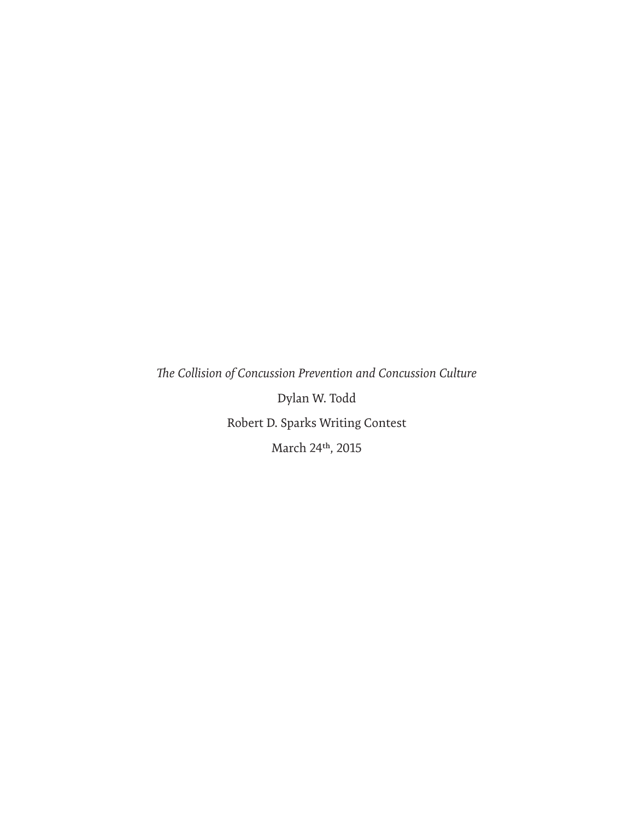*The Collision of Concussion Prevention and Concussion Culture* Dylan W. Todd Robert D. Sparks Writing Contest March 24th, 2015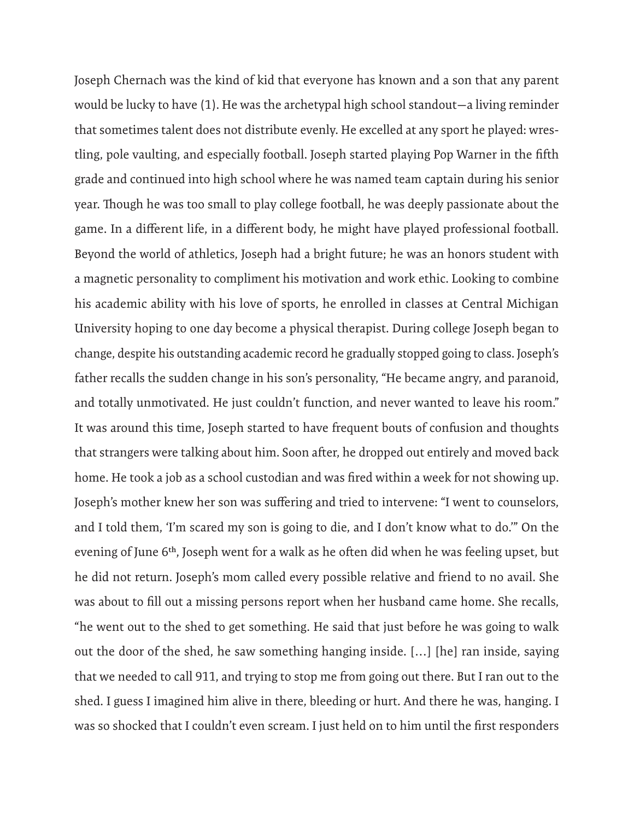Joseph Chernach was the kind of kid that everyone has known and a son that any parent would be lucky to have (1). He was the archetypal high school standout—a living reminder that sometimes talent does not distribute evenly. He excelled at any sport he played: wrestling, pole vaulting, and especially football. Joseph started playing Pop Warner in the fifth grade and continued into high school where he was named team captain during his senior year. Though he was too small to play college football, he was deeply passionate about the game. In a different life, in a different body, he might have played professional football. Beyond the world of athletics, Joseph had a bright future; he was an honors student with a magnetic personality to compliment his motivation and work ethic. Looking to combine his academic ability with his love of sports, he enrolled in classes at Central Michigan University hoping to one day become a physical therapist. During college Joseph began to change, despite his outstanding academic record he gradually stopped going to class. Joseph's father recalls the sudden change in his son's personality, "He became angry, and paranoid, and totally unmotivated. He just couldn't function, and never wanted to leave his room." It was around this time, Joseph started to have frequent bouts of confusion and thoughts that strangers were talking about him. Soon after, he dropped out entirely and moved back home. He took a job as a school custodian and was fired within a week for not showing up. Joseph's mother knew her son was suffering and tried to intervene: "I went to counselors, and I told them, 'I'm scared my son is going to die, and I don't know what to do.'" On the evening of June 6th, Joseph went for a walk as he often did when he was feeling upset, but he did not return. Joseph's mom called every possible relative and friend to no avail. She was about to fill out a missing persons report when her husband came home. She recalls, "he went out to the shed to get something. He said that just before he was going to walk out the door of the shed, he saw something hanging inside. […] [he] ran inside, saying that we needed to call 911, and trying to stop me from going out there. But I ran out to the shed. I guess I imagined him alive in there, bleeding or hurt. And there he was, hanging. I was so shocked that I couldn't even scream. I just held on to him until the first responders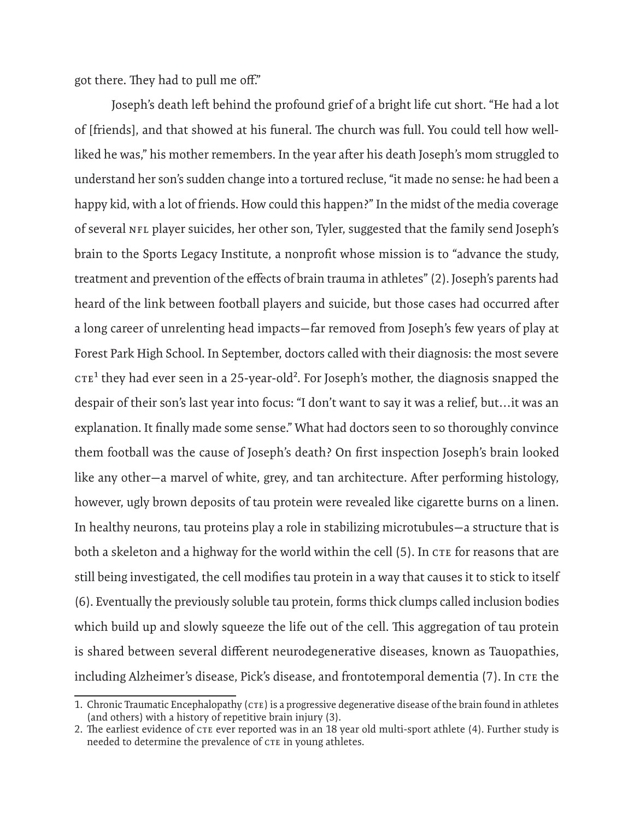got there. They had to pull me off."

Joseph's death left behind the profound grief of a bright life cut short. "He had a lot of [friends], and that showed at his funeral. The church was full. You could tell how wellliked he was," his mother remembers. In the year after his death Joseph's mom struggled to understand her son's sudden change into a tortured recluse, "it made no sense: he had been a happy kid, with a lot of friends. How could this happen?" In the midst of the media coverage of several NFL player suicides, her other son, Tyler, suggested that the family send Joseph's brain to the Sports Legacy Institute, a nonprofit whose mission is to "advance the study, treatment and prevention of the effects of brain trauma in athletes" (2). Joseph's parents had heard of the link between football players and suicide, but those cases had occurred after a long career of unrelenting head impacts—far removed from Joseph's few years of play at Forest Park High School. In September, doctors called with their diagnosis: the most severe  $CTE<sup>1</sup>$  they had ever seen in a 25-year-old<sup>2</sup>. For Joseph's mother, the diagnosis snapped the despair of their son's last year into focus: "I don't want to say it was a relief, but…it was an explanation. It finally made some sense." What had doctors seen to so thoroughly convince them football was the cause of Joseph's death? On first inspection Joseph's brain looked like any other—a marvel of white, grey, and tan architecture. After performing histology, however, ugly brown deposits of tau protein were revealed like cigarette burns on a linen. In healthy neurons, tau proteins play a role in stabilizing microtubules—a structure that is both a skeleton and a highway for the world within the cell (5). In CTE for reasons that are still being investigated, the cell modifies tau protein in a way that causes it to stick to itself (6). Eventually the previously soluble tau protein, forms thick clumps called inclusion bodies which build up and slowly squeeze the life out of the cell. This aggregation of tau protein is shared between several different neurodegenerative diseases, known as Tauopathies, including Alzheimer's disease, Pick's disease, and frontotemporal dementia (7). In CTE the

<sup>1.</sup> Chronic Traumatic Encephalopathy (CTE) is a progressive degenerative disease of the brain found in athletes (and others) with a history of repetitive brain injury (3).

<sup>2.</sup> The earliest evidence of CTE ever reported was in an 18 year old multi-sport athlete (4). Further study is needed to determine the prevalence of CTE in young athletes.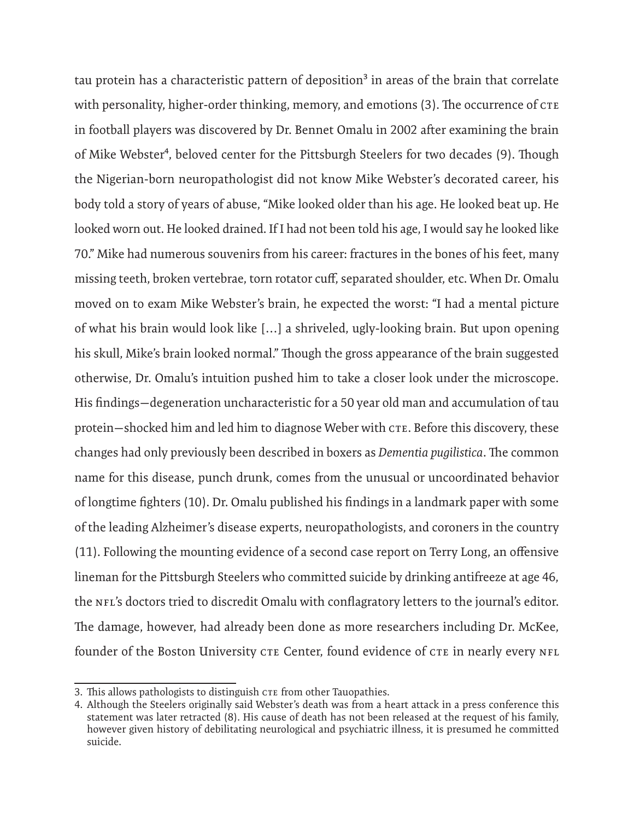tau protein has a characteristic pattern of deposition<sup>3</sup> in areas of the brain that correlate with personality, higher-order thinking, memory, and emotions (3). The occurrence of CTE in football players was discovered by Dr. Bennet Omalu in 2002 after examining the brain of Mike Webster<sup>4</sup>, beloved center for the Pittsburgh Steelers for two decades (9). Though the Nigerian-born neuropathologist did not know Mike Webster's decorated career, his body told a story of years of abuse, "Mike looked older than his age. He looked beat up. He looked worn out. He looked drained. If I had not been told his age, I would say he looked like 70." Mike had numerous souvenirs from his career: fractures in the bones of his feet, many missing teeth, broken vertebrae, torn rotator cuff, separated shoulder, etc. When Dr. Omalu moved on to exam Mike Webster's brain, he expected the worst: "I had a mental picture of what his brain would look like […] a shriveled, ugly-looking brain. But upon opening his skull, Mike's brain looked normal." Though the gross appearance of the brain suggested otherwise, Dr. Omalu's intuition pushed him to take a closer look under the microscope. His findings—degeneration uncharacteristic for a 50 year old man and accumulation of tau protein—shocked him and led him to diagnose Weber with CTE. Before this discovery, these changes had only previously been described in boxers as *Dementia pugilistica*. The common name for this disease, punch drunk, comes from the unusual or uncoordinated behavior of longtime fighters (10). Dr. Omalu published his findings in a landmark paper with some of the leading Alzheimer's disease experts, neuropathologists, and coroners in the country (11). Following the mounting evidence of a second case report on Terry Long, an offensive lineman for the Pittsburgh Steelers who committed suicide by drinking antifreeze at age 46, the NFL's doctors tried to discredit Omalu with conflagratory letters to the journal's editor. The damage, however, had already been done as more researchers including Dr. McKee, founder of the Boston University CTE Center, found evidence of CTE in nearly every NFL

<sup>3.</sup> This allows pathologists to distinguish CTE from other Tauopathies.

<sup>4.</sup> Although the Steelers originally said Webster's death was from a heart attack in a press conference this statement was later retracted (8). His cause of death has not been released at the request of his family, however given history of debilitating neurological and psychiatric illness, it is presumed he committed suicide.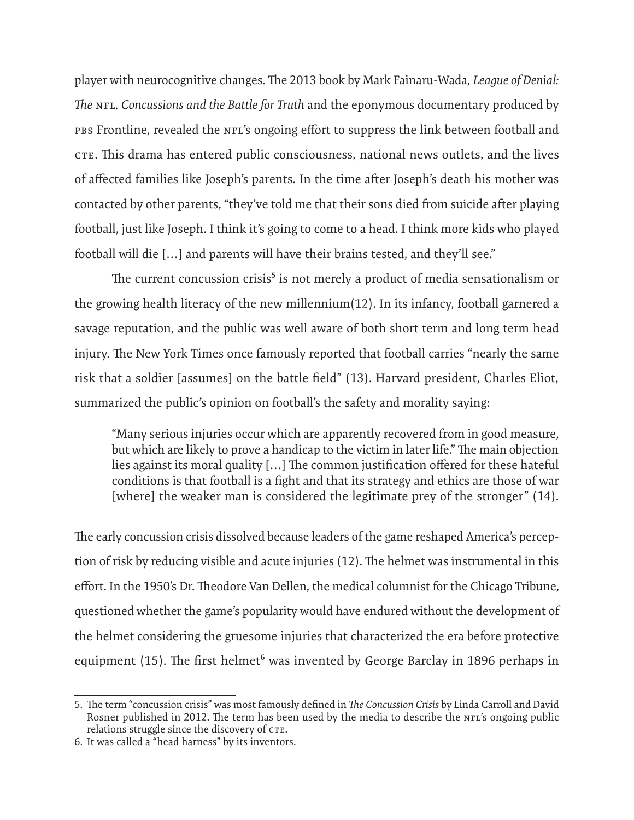player with neurocognitive changes. The 2013 book by Mark Fainaru-Wada, *League of Denial: The* NFL*, Concussions and the Battle for Truth* and the eponymous documentary produced by PBS Frontline, revealed the NFL's ongoing effort to suppress the link between football and CTE. This drama has entered public consciousness, national news outlets, and the lives of affected families like Joseph's parents. In the time after Joseph's death his mother was contacted by other parents, "they've told me that their sons died from suicide after playing football, just like Joseph. I think it's going to come to a head. I think more kids who played football will die […] and parents will have their brains tested, and they'll see."

The current concussion crisis<sup>5</sup> is not merely a product of media sensationalism or the growing health literacy of the new millennium(12). In its infancy, football garnered a savage reputation, and the public was well aware of both short term and long term head injury. The New York Times once famously reported that football carries "nearly the same risk that a soldier [assumes] on the battle field" (13). Harvard president, Charles Eliot, summarized the public's opinion on football's the safety and morality saying:

"Many serious injuries occur which are apparently recovered from in good measure, but which are likely to prove a handicap to the victim in later life." The main objection lies against its moral quality […] The common justification offered for these hateful conditions is that football is a fight and that its strategy and ethics are those of war [where] the weaker man is considered the legitimate prey of the stronger" (14).

The early concussion crisis dissolved because leaders of the game reshaped America's perception of risk by reducing visible and acute injuries (12). The helmet was instrumental in this effort. In the 1950's Dr. Theodore Van Dellen, the medical columnist for the Chicago Tribune, questioned whether the game's popularity would have endured without the development of the helmet considering the gruesome injuries that characterized the era before protective equipment (15). The first helmet<sup>6</sup> was invented by George Barclay in 1896 perhaps in

<sup>5.</sup> The term "concussion crisis" was most famously defined in *The Concussion Crisis* by Linda Carroll and David Rosner published in 2012. The term has been used by the media to describe the NFL's ongoing public relations struggle since the discovery of CTE.

<sup>6.</sup> It was called a "head harness" by its inventors.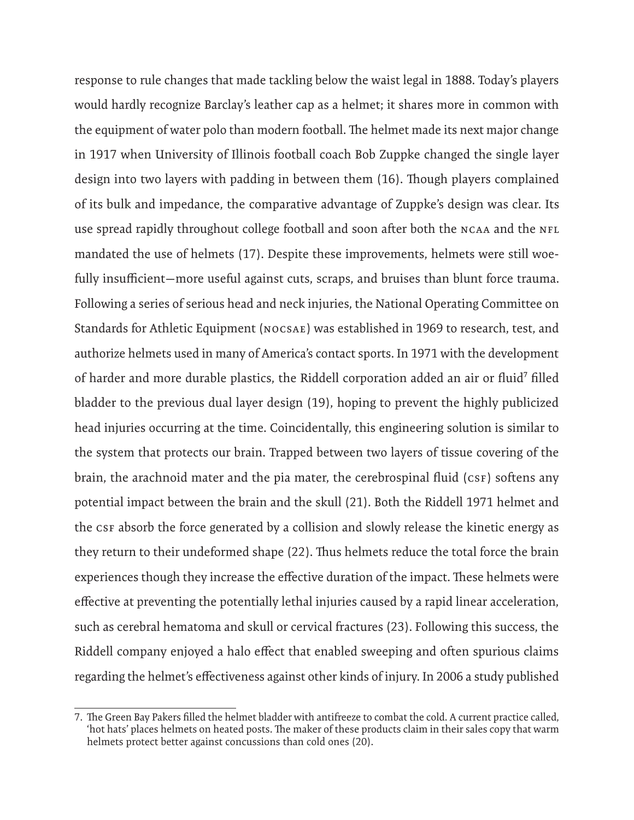response to rule changes that made tackling below the waist legal in 1888. Today's players would hardly recognize Barclay's leather cap as a helmet; it shares more in common with the equipment of water polo than modern football. The helmet made its next major change in 1917 when University of Illinois football coach Bob Zuppke changed the single layer design into two layers with padding in between them (16). Though players complained of its bulk and impedance, the comparative advantage of Zuppke's design was clear. Its use spread rapidly throughout college football and soon after both the NCAA and the NFL mandated the use of helmets (17). Despite these improvements, helmets were still woefully insufficient—more useful against cuts, scraps, and bruises than blunt force trauma. Following a series of serious head and neck injuries, the National Operating Committee on Standards for Athletic Equipment (NOCSAE) was established in 1969 to research, test, and authorize helmets used in many of America's contact sports. In 1971 with the development of harder and more durable plastics, the Riddell corporation added an air or fluid<sup>7</sup> filled bladder to the previous dual layer design (19), hoping to prevent the highly publicized head injuries occurring at the time. Coincidentally, this engineering solution is similar to the system that protects our brain. Trapped between two layers of tissue covering of the brain, the arachnoid mater and the pia mater, the cerebrospinal fluid (CSF) softens any potential impact between the brain and the skull (21). Both the Riddell 1971 helmet and the CSF absorb the force generated by a collision and slowly release the kinetic energy as they return to their undeformed shape (22). Thus helmets reduce the total force the brain experiences though they increase the effective duration of the impact. These helmets were effective at preventing the potentially lethal injuries caused by a rapid linear acceleration, such as cerebral hematoma and skull or cervical fractures (23). Following this success, the Riddell company enjoyed a halo effect that enabled sweeping and often spurious claims regarding the helmet's effectiveness against other kinds of injury. In 2006 a study published

<sup>7.</sup> The Green Bay Pakers filled the helmet bladder with antifreeze to combat the cold. A current practice called, 'hot hats' places helmets on heated posts. The maker of these products claim in their sales copy that warm helmets protect better against concussions than cold ones (20).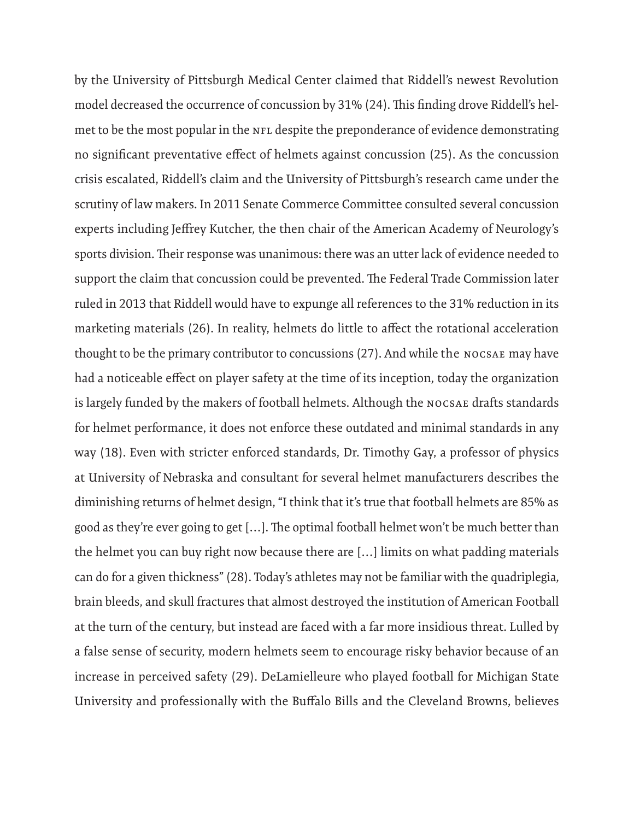by the University of Pittsburgh Medical Center claimed that Riddell's newest Revolution model decreased the occurrence of concussion by 31% (24). This finding drove Riddell's helmet to be the most popular in the NFL despite the preponderance of evidence demonstrating no significant preventative effect of helmets against concussion (25). As the concussion crisis escalated, Riddell's claim and the University of Pittsburgh's research came under the scrutiny of law makers. In 2011 Senate Commerce Committee consulted several concussion experts including Jeffrey Kutcher, the then chair of the American Academy of Neurology's sports division. Their response was unanimous: there was an utter lack of evidence needed to support the claim that concussion could be prevented. The Federal Trade Commission later ruled in 2013 that Riddell would have to expunge all references to the 31% reduction in its marketing materials (26). In reality, helmets do little to affect the rotational acceleration thought to be the primary contributor to concussions (27). And while the NOCSAE may have had a noticeable effect on player safety at the time of its inception, today the organization is largely funded by the makers of football helmets. Although the NOCSAE drafts standards for helmet performance, it does not enforce these outdated and minimal standards in any way (18). Even with stricter enforced standards, Dr. Timothy Gay, a professor of physics at University of Nebraska and consultant for several helmet manufacturers describes the diminishing returns of helmet design, "I think that it's true that football helmets are 85% as good as they're ever going to get […]. The optimal football helmet won't be much better than the helmet you can buy right now because there are […] limits on what padding materials can do for a given thickness" (28). Today's athletes may not be familiar with the quadriplegia, brain bleeds, and skull fractures that almost destroyed the institution of American Football at the turn of the century, but instead are faced with a far more insidious threat. Lulled by a false sense of security, modern helmets seem to encourage risky behavior because of an increase in perceived safety (29). DeLamielleure who played football for Michigan State University and professionally with the Buffalo Bills and the Cleveland Browns, believes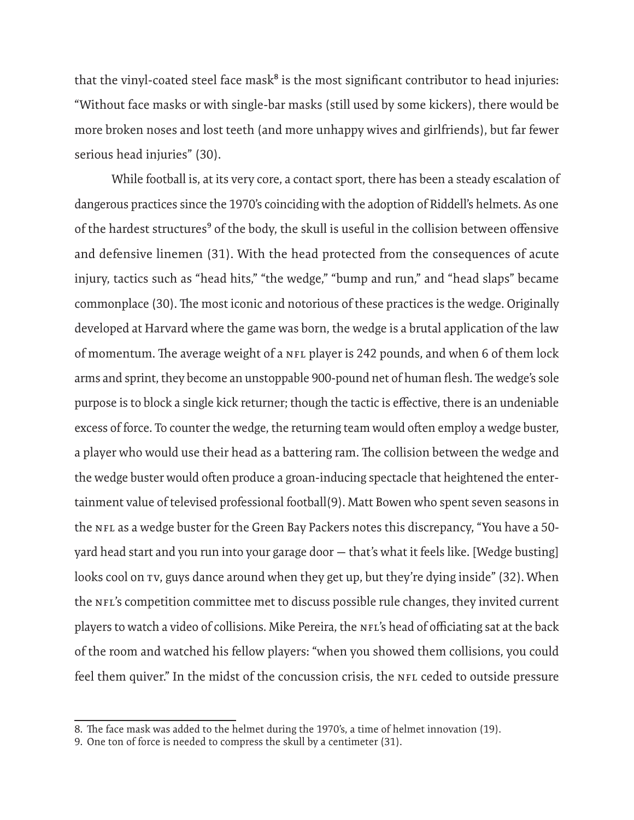that the vinyl-coated steel face mask<sup>8</sup> is the most significant contributor to head injuries: "Without face masks or with single-bar masks (still used by some kickers), there would be more broken noses and lost teeth (and more unhappy wives and girlfriends), but far fewer serious head injuries" (30).

While football is, at its very core, a contact sport, there has been a steady escalation of dangerous practices since the 1970's coinciding with the adoption of Riddell's helmets. As one of the hardest structures<sup>9</sup> of the body, the skull is useful in the collision between offensive and defensive linemen (31). With the head protected from the consequences of acute injury, tactics such as "head hits," "the wedge," "bump and run," and "head slaps" became commonplace (30). The most iconic and notorious of these practices is the wedge. Originally developed at Harvard where the game was born, the wedge is a brutal application of the law of momentum. The average weight of a NFL player is 242 pounds, and when 6 of them lock arms and sprint, they become an unstoppable 900-pound net of human flesh. The wedge's sole purpose is to block a single kick returner; though the tactic is effective, there is an undeniable excess of force. To counter the wedge, the returning team would often employ a wedge buster, a player who would use their head as a battering ram. The collision between the wedge and the wedge buster would often produce a groan-inducing spectacle that heightened the entertainment value of televised professional football(9). Matt Bowen who spent seven seasons in the NFL as a wedge buster for the Green Bay Packers notes this discrepancy, "You have a 50 yard head start and you run into your garage door — that's what it feels like. [Wedge busting] looks cool on TV, guys dance around when they get up, but they're dying inside" (32). When the NFL's competition committee met to discuss possible rule changes, they invited current players to watch a video of collisions. Mike Pereira, the NFL's head of officiating sat at the back of the room and watched his fellow players: "when you showed them collisions, you could feel them quiver." In the midst of the concussion crisis, the NFL ceded to outside pressure

<sup>8.</sup> The face mask was added to the helmet during the 1970's, a time of helmet innovation (19).

<sup>9.</sup> One ton of force is needed to compress the skull by a centimeter (31).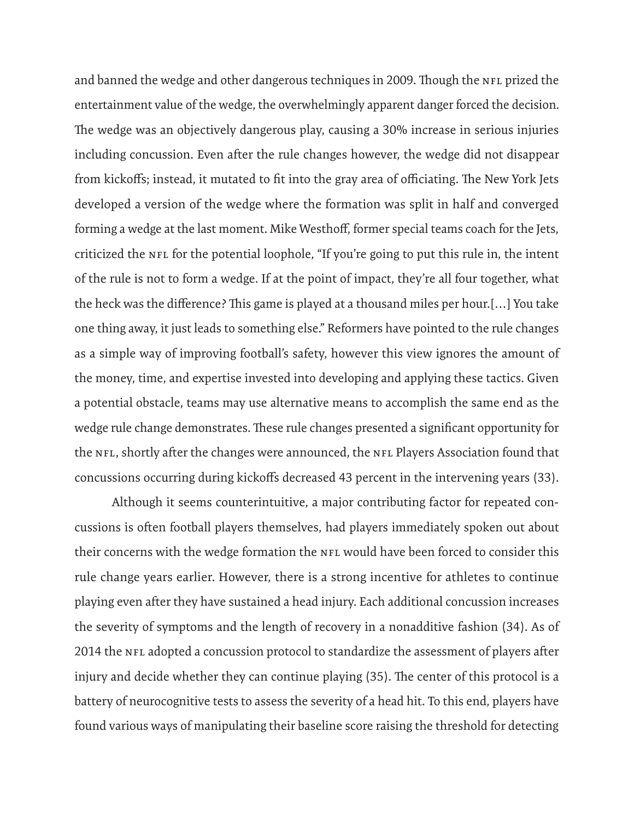and banned the wedge and other dangerous techniques in 2009. Though the NFL prized the entertainment value of the wedge, the overwhelmingly apparent danger forced the decision. The wedge was an objectively dangerous play, causing a 30% increase in serious injuries including concussion. Even after the rule changes however, the wedge did not disappear from kickoffs; instead, it mutated to fit into the gray area of officiating. The New York Jets developed a version of the wedge where the formation was split in half and converged forming a wedge at the last moment. Mike Westhoff, former special teams coach for the Jets, criticized the NFL for the potential loophole, "If you're going to put this rule in, the intent of the rule is not to form a wedge. If at the point of impact, they're all four together, what the heck was the difference? This game is played at a thousand miles per hour.[…] You take one thing away, it just leads to something else." Reformers have pointed to the rule changes as a simple way of improving football's safety, however this view ignores the amount of the money, time, and expertise invested into developing and applying these tactics. Given a potential obstacle, teams may use alternative means to accomplish the same end as the wedge rule change demonstrates. These rule changes presented a significant opportunity for the NFL, shortly after the changes were announced, the NFL Players Association found that concussions occurring during kickoffs decreased 43 percent in the intervening years (33).

Although it seems counterintuitive, a major contributing factor for repeated concussions is often football players themselves, had players immediately spoken out about their concerns with the wedge formation the NFL would have been forced to consider this rule change years earlier. However, there is a strong incentive for athletes to continue playing even after they have sustained a head injury. Each additional concussion increases the severity of symptoms and the length of recovery in a nonadditive fashion (34). As of 2014 the NFL adopted a concussion protocol to standardize the assessment of players after injury and decide whether they can continue playing (35). The center of this protocol is a battery of neurocognitive tests to assess the severity of a head hit. To this end, players have found various ways of manipulating their baseline score raising the threshold for detecting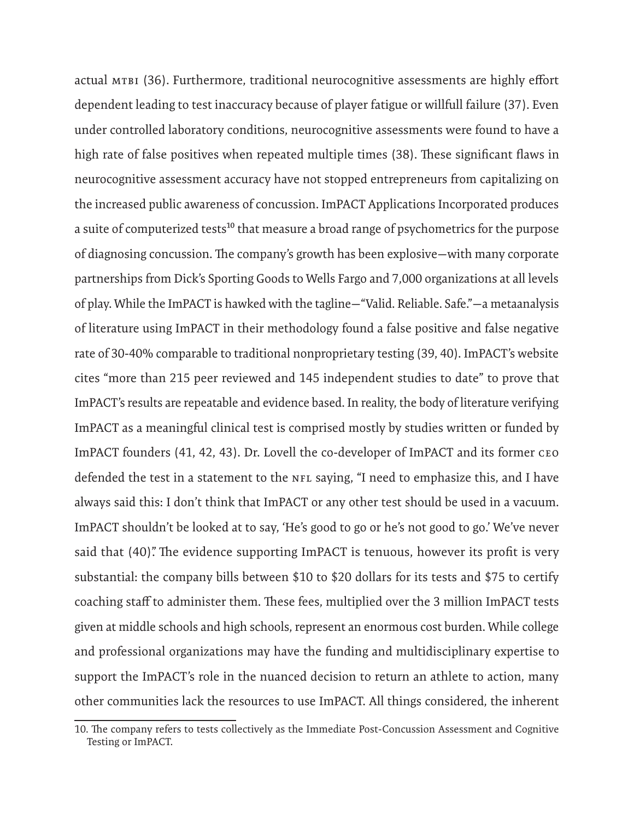actual mTBI (36). Furthermore, traditional neurocognitive assessments are highly effort dependent leading to test inaccuracy because of player fatigue or willfull failure (37). Even under controlled laboratory conditions, neurocognitive assessments were found to have a high rate of false positives when repeated multiple times (38). These significant flaws in neurocognitive assessment accuracy have not stopped entrepreneurs from capitalizing on the increased public awareness of concussion. ImPACT Applications Incorporated produces a suite of computerized tests<sup>10</sup> that measure a broad range of psychometrics for the purpose of diagnosing concussion. The company's growth has been explosive—with many corporate partnerships from Dick's Sporting Goods to Wells Fargo and 7,000 organizations at all levels of play. While the ImPACT is hawked with the tagline—"Valid. Reliable. Safe."—a metaanalysis of literature using ImPACT in their methodology found a false positive and false negative rate of 30-40% comparable to traditional nonproprietary testing (39, 40). ImPACT's website cites "more than 215 peer reviewed and 145 independent studies to date" to prove that ImPACT's results are repeatable and evidence based. In reality, the body of literature verifying ImPACT as a meaningful clinical test is comprised mostly by studies written or funded by ImPACT founders (41, 42, 43). Dr. Lovell the co-developer of ImPACT and its former CEO defended the test in a statement to the NFL saying, "I need to emphasize this, and I have always said this: I don't think that ImPACT or any other test should be used in a vacuum. ImPACT shouldn't be looked at to say, 'He's good to go or he's not good to go.' We've never said that (40). The evidence supporting ImPACT is tenuous, however its profit is very substantial: the company bills between \$10 to \$20 dollars for its tests and \$75 to certify coaching staff to administer them. These fees, multiplied over the 3 million ImPACT tests given at middle schools and high schools, represent an enormous cost burden. While college and professional organizations may have the funding and multidisciplinary expertise to support the ImPACT's role in the nuanced decision to return an athlete to action, many other communities lack the resources to use ImPACT. All things considered, the inherent

<sup>10.</sup> The company refers to tests collectively as the Immediate Post-Concussion Assessment and Cognitive Testing or ImPACT.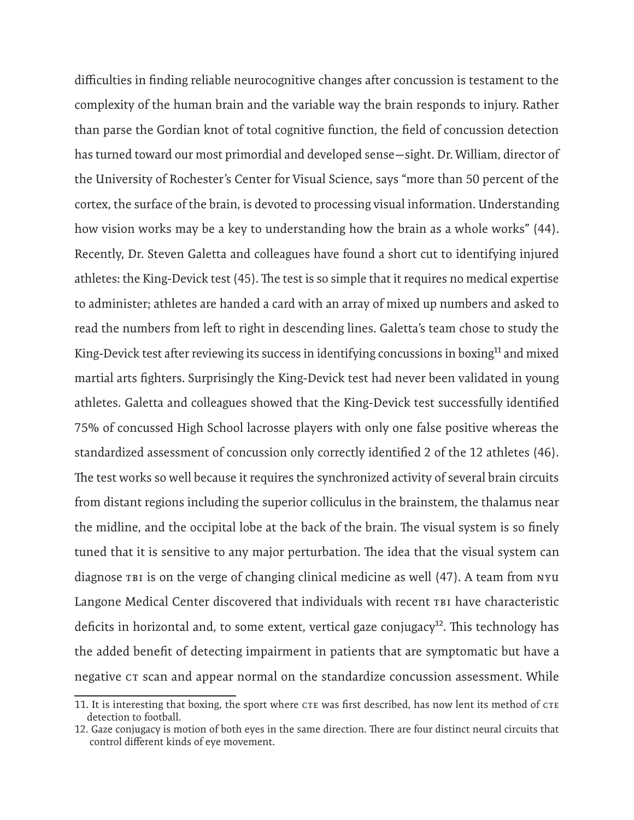difficulties in finding reliable neurocognitive changes after concussion is testament to the complexity of the human brain and the variable way the brain responds to injury. Rather than parse the Gordian knot of total cognitive function, the field of concussion detection has turned toward our most primordial and developed sense—sight. Dr. William, director of the University of Rochester's Center for Visual Science, says "more than 50 percent of the cortex, the surface of the brain, is devoted to processing visual information. Understanding how vision works may be a key to understanding how the brain as a whole works" (44). Recently, Dr. Steven Galetta and colleagues have found a short cut to identifying injured athletes: the King-Devick test (45). The test is so simple that it requires no medical expertise to administer; athletes are handed a card with an array of mixed up numbers and asked to read the numbers from left to right in descending lines. Galetta's team chose to study the King-Devick test after reviewing its success in identifying concussions in boxing<sup>11</sup> and mixed martial arts fighters. Surprisingly the King-Devick test had never been validated in young athletes. Galetta and colleagues showed that the King-Devick test successfully identified 75% of concussed High School lacrosse players with only one false positive whereas the standardized assessment of concussion only correctly identified 2 of the 12 athletes (46). The test works so well because it requires the synchronized activity of several brain circuits from distant regions including the superior colliculus in the brainstem, the thalamus near the midline, and the occipital lobe at the back of the brain. The visual system is so finely tuned that it is sensitive to any major perturbation. The idea that the visual system can diagnose TBI is on the verge of changing clinical medicine as well (47). A team from NYU Langone Medical Center discovered that individuals with recent TBI have characteristic deficits in horizontal and, to some extent, vertical gaze conjugacy<sup>12</sup>. This technology has the added benefit of detecting impairment in patients that are symptomatic but have a negative CT scan and appear normal on the standardize concussion assessment. While

<sup>11.</sup> It is interesting that boxing, the sport where CTE was first described, has now lent its method of CTE detection to football.

<sup>12.</sup> Gaze conjugacy is motion of both eyes in the same direction. There are four distinct neural circuits that control different kinds of eye movement.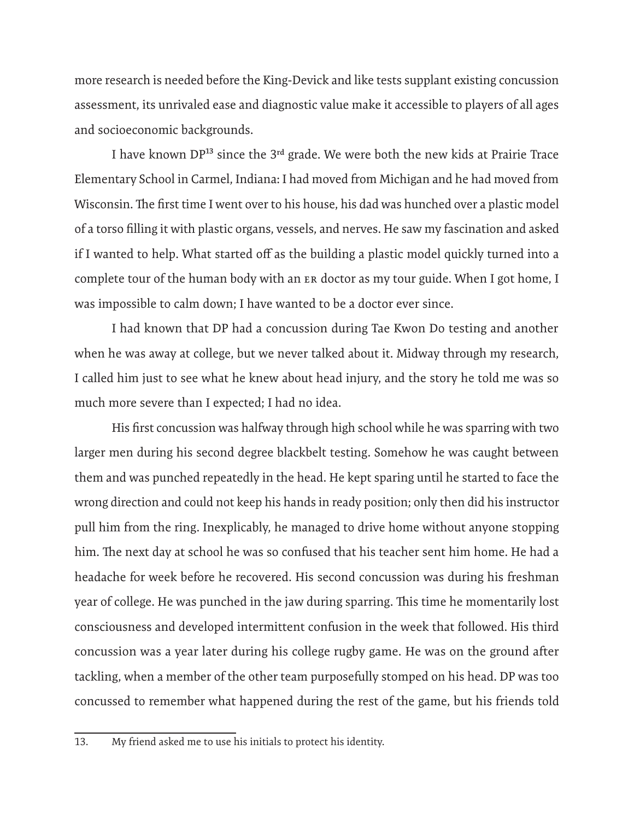more research is needed before the King-Devick and like tests supplant existing concussion assessment, its unrivaled ease and diagnostic value make it accessible to players of all ages and socioeconomic backgrounds.

I have known  $DP^{13}$  since the  $3<sup>rd</sup>$  grade. We were both the new kids at Prairie Trace Elementary School in Carmel, Indiana: I had moved from Michigan and he had moved from Wisconsin. The first time I went over to his house, his dad was hunched over a plastic model of a torso filling it with plastic organs, vessels, and nerves. He saw my fascination and asked if I wanted to help. What started off as the building a plastic model quickly turned into a complete tour of the human body with an ER doctor as my tour guide. When I got home, I was impossible to calm down; I have wanted to be a doctor ever since.

I had known that DP had a concussion during Tae Kwon Do testing and another when he was away at college, but we never talked about it. Midway through my research, I called him just to see what he knew about head injury, and the story he told me was so much more severe than I expected; I had no idea.

His first concussion was halfway through high school while he was sparring with two larger men during his second degree blackbelt testing. Somehow he was caught between them and was punched repeatedly in the head. He kept sparing until he started to face the wrong direction and could not keep his hands in ready position; only then did his instructor pull him from the ring. Inexplicably, he managed to drive home without anyone stopping him. The next day at school he was so confused that his teacher sent him home. He had a headache for week before he recovered. His second concussion was during his freshman year of college. He was punched in the jaw during sparring. This time he momentarily lost consciousness and developed intermittent confusion in the week that followed. His third concussion was a year later during his college rugby game. He was on the ground after tackling, when a member of the other team purposefully stomped on his head. DP was too concussed to remember what happened during the rest of the game, but his friends told

<sup>13.</sup> My friend asked me to use his initials to protect his identity.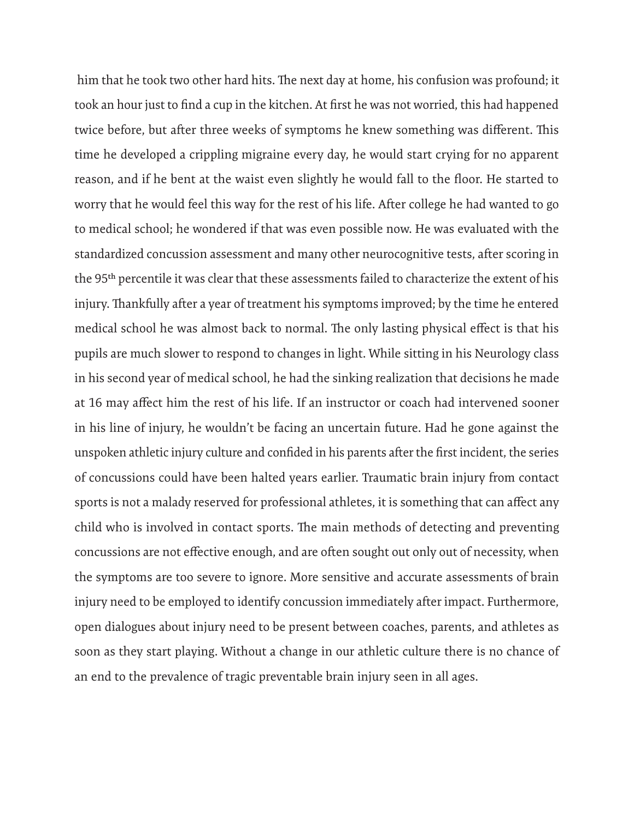him that he took two other hard hits. The next day at home, his confusion was profound; it took an hour just to find a cup in the kitchen. At first he was not worried, this had happened twice before, but after three weeks of symptoms he knew something was different. This time he developed a crippling migraine every day, he would start crying for no apparent reason, and if he bent at the waist even slightly he would fall to the floor. He started to worry that he would feel this way for the rest of his life. After college he had wanted to go to medical school; he wondered if that was even possible now. He was evaluated with the standardized concussion assessment and many other neurocognitive tests, after scoring in the 95th percentile it was clear that these assessments failed to characterize the extent of his injury. Thankfully after a year of treatment his symptoms improved; by the time he entered medical school he was almost back to normal. The only lasting physical effect is that his pupils are much slower to respond to changes in light. While sitting in his Neurology class in his second year of medical school, he had the sinking realization that decisions he made at 16 may affect him the rest of his life. If an instructor or coach had intervened sooner in his line of injury, he wouldn't be facing an uncertain future. Had he gone against the unspoken athletic injury culture and confided in his parents after the first incident, the series of concussions could have been halted years earlier. Traumatic brain injury from contact sports is not a malady reserved for professional athletes, it is something that can affect any child who is involved in contact sports. The main methods of detecting and preventing concussions are not effective enough, and are often sought out only out of necessity, when the symptoms are too severe to ignore. More sensitive and accurate assessments of brain injury need to be employed to identify concussion immediately after impact. Furthermore, open dialogues about injury need to be present between coaches, parents, and athletes as soon as they start playing. Without a change in our athletic culture there is no chance of an end to the prevalence of tragic preventable brain injury seen in all ages.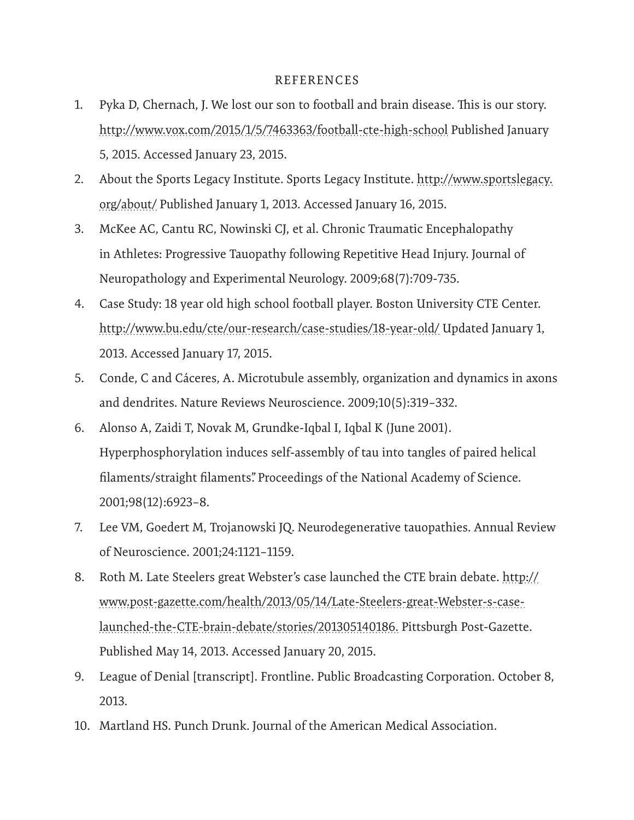## REFERENCES

- 1. Pyka D, Chernach, J. We lost our son to football and brain disease. This is our story. http://www.vox.com/2015/1/5/7463363/football-cte-high-school Published January 5, 2015. Accessed January 23, 2015.
- 2. About the Sports Legacy Institute. Sports Legacy Institute. http://www.sportslegacy. org/about/ Published January 1, 2013. Accessed January 16, 2015.
- 3. McKee AC, Cantu RC, Nowinski CJ, et al. Chronic Traumatic Encephalopathy in Athletes: Progressive Tauopathy following Repetitive Head Injury. Journal of Neuropathology and Experimental Neurology. 2009;68(7):709-735.
- 4. Case Study: 18 year old high school football player. Boston University CTE Center. http://www.bu.edu/cte/our-research/case-studies/18-year-old/ Updated January 1, 2013. Accessed January 17, 2015.
- 5. Conde, C and Cáceres, A. Microtubule assembly, organization and dynamics in axons and dendrites. Nature Reviews Neuroscience. 2009;10(5):319–332.
- 6. Alonso A, Zaidi T, Novak M, Grundke-Iqbal I, Iqbal K (June 2001). Hyperphosphorylation induces self-assembly of tau into tangles of paired helical filaments/straight filaments". Proceedings of the National Academy of Science. 2001;98(12):6923–8.
- 7. Lee VM, Goedert M, Trojanowski JQ. Neurodegenerative tauopathies. Annual Review of Neuroscience. 2001;24:1121–1159.
- 8. Roth M. Late Steelers great Webster's case launched the CTE brain debate. http:// www.post-gazette.com/health/2013/05/14/Late-Steelers-great-Webster-s-caselaunched-the-CTE-brain-debate/stories/201305140186. Pittsburgh Post-Gazette. Published May 14, 2013. Accessed January 20, 2015.
- 9. League of Denial [transcript]. Frontline. Public Broadcasting Corporation. October 8, 2013.
- 10. Martland HS. Punch Drunk. Journal of the American Medical Association.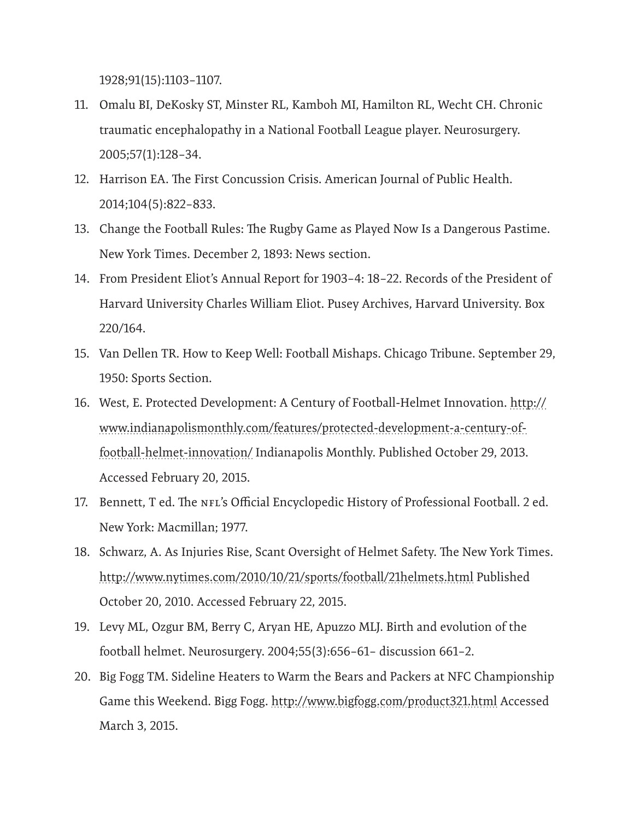1928;91(15):1103–1107.

- 11. Omalu BI, DeKosky ST, Minster RL, Kamboh MI, Hamilton RL, Wecht CH. Chronic traumatic encephalopathy in a National Football League player. Neurosurgery. 2005;57(1):128–34.
- 12. Harrison EA. The First Concussion Crisis. American Journal of Public Health. 2014;104(5):822–833.
- 13. Change the Football Rules: The Rugby Game as Played Now Is a Dangerous Pastime. New York Times. December 2, 1893: News section.
- 14. From President Eliot's Annual Report for 1903–4: 18–22. Records of the President of Harvard University Charles William Eliot. Pusey Archives, Harvard University. Box 220/164.
- 15. Van Dellen TR. How to Keep Well: Football Mishaps. Chicago Tribune. September 29, 1950: Sports Section.
- 16. West, E. Protected Development: A Century of Football-Helmet Innovation. http:// www.indianapolismonthly.com/features/protected-development-a-century-offootball-helmet-innovation/ Indianapolis Monthly. Published October 29, 2013. Accessed February 20, 2015.
- 17. Bennett, T ed. The NFL's Official Encyclopedic History of Professional Football. 2 ed. New York: Macmillan; 1977.
- 18. Schwarz, A. As Injuries Rise, Scant Oversight of Helmet Safety. The New York Times. http://www.nytimes.com/2010/10/21/sports/football/21helmets.html Published October 20, 2010. Accessed February 22, 2015.
- 19. Levy ML, Ozgur BM, Berry C, Aryan HE, Apuzzo MLJ. Birth and evolution of the football helmet. Neurosurgery. 2004;55(3):656–61– discussion 661–2.
- 20. Big Fogg TM. Sideline Heaters to Warm the Bears and Packers at NFC Championship Game this Weekend. Bigg Fogg. http://www.bigfogg.com/product321.html Accessed March 3, 2015.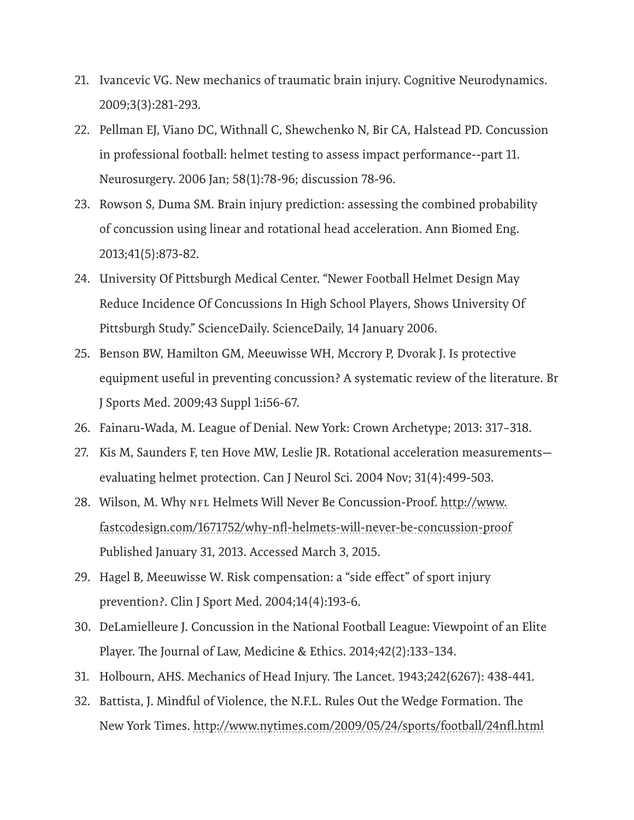- 21. Ivancevic VG. New mechanics of traumatic brain injury. Cognitive Neurodynamics. 2009;3(3):281-293.
- 22. Pellman EJ, Viano DC, Withnall C, Shewchenko N, Bir CA, Halstead PD. Concussion in professional football: helmet testing to assess impact performance--part 11. Neurosurgery. 2006 Jan; 58(1):78-96; discussion 78-96.
- 23. Rowson S, Duma SM. Brain injury prediction: assessing the combined probability of concussion using linear and rotational head acceleration. Ann Biomed Eng. 2013;41(5):873-82.
- 24. University Of Pittsburgh Medical Center. "Newer Football Helmet Design May Reduce Incidence Of Concussions In High School Players, Shows University Of Pittsburgh Study." ScienceDaily. ScienceDaily, 14 January 2006.
- 25. Benson BW, Hamilton GM, Meeuwisse WH, Mccrory P, Dvorak J. Is protective equipment useful in preventing concussion? A systematic review of the literature. Br J Sports Med. 2009;43 Suppl 1:i56-67.
- 26. Fainaru-Wada, M. League of Denial. New York: Crown Archetype; 2013: 317–318.
- 27. Kis M, Saunders F, ten Hove MW, Leslie JR. Rotational acceleration measurements evaluating helmet protection. Can J Neurol Sci. 2004 Nov; 31(4):499-503.
- 28. Wilson, M. Why NFL Helmets Will Never Be Concussion-Proof. http://www. fastcodesign.com/1671752/why-nfl-helmets-will-never-be-concussion-proof Published January 31, 2013. Accessed March 3, 2015.
- 29. Hagel B, Meeuwisse W. Risk compensation: a "side effect" of sport injury prevention?. Clin J Sport Med. 2004;14(4):193-6.
- 30. DeLamielleure J. Concussion in the National Football League: Viewpoint of an Elite Player. The Journal of Law, Medicine & Ethics. 2014;42(2):133–134.
- 31. Holbourn, AHS. Mechanics of Head Injury. The Lancet. 1943;242(6267): 438-441.
- 32. Battista, J. Mindful of Violence, the N.F.L. Rules Out the Wedge Formation. The New York Times. http://www.nytimes.com/2009/05/24/sports/football/24nfl.html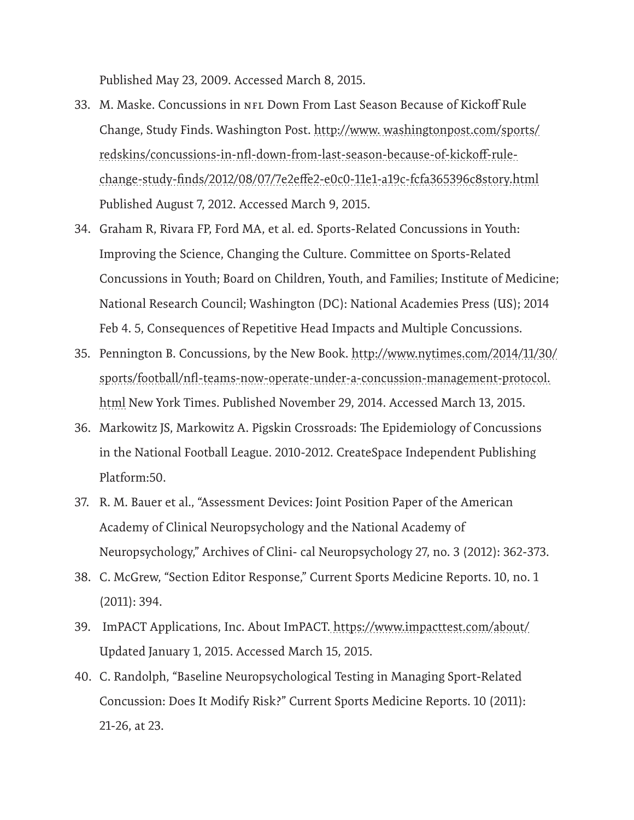Published May 23, 2009. Accessed March 8, 2015.

- 33. M. Maske. Concussions in NFL Down From Last Season Because of Kickoff Rule Change, Study Finds. Washington Post. http://www. washingtonpost.com/sports/ redskins/concussions-in-nfl-down-from-last-season-because-of-kickoff-rulechange-study-finds/2012/08/07/7e2effe2-e0c0-11e1-a19c-fcfa365396c8story.html Published August 7, 2012. Accessed March 9, 2015.
- 34. Graham R, Rivara FP, Ford MA, et al. ed. Sports-Related Concussions in Youth: Improving the Science, Changing the Culture. Committee on Sports-Related Concussions in Youth; Board on Children, Youth, and Families; Institute of Medicine; National Research Council; Washington (DC): National Academies Press (US); 2014 Feb 4. 5, Consequences of Repetitive Head Impacts and Multiple Concussions.
- 35. Pennington B. Concussions, by the New Book. http://www.nytimes.com/2014/11/30/ sports/football/nfl-teams-now-operate-under-a-concussion-management-protocol. html New York Times. Published November 29, 2014. Accessed March 13, 2015.
- 36. Markowitz JS, Markowitz A. Pigskin Crossroads: The Epidemiology of Concussions in the National Football League. 2010-2012. CreateSpace Independent Publishing Platform:50.
- 37. R. M. Bauer et al., "Assessment Devices: Joint Position Paper of the American Academy of Clinical Neuropsychology and the National Academy of Neuropsychology," Archives of Clini- cal Neuropsychology 27, no. 3 (2012): 362-373.
- 38. C. McGrew, "Section Editor Response," Current Sports Medicine Reports. 10, no. 1 (2011): 394.
- 39. ImPACT Applications, Inc. About ImPACT. https://www.impacttest.com/about/ Updated January 1, 2015. Accessed March 15, 2015.
- 40. C. Randolph, "Baseline Neuropsychological Testing in Managing Sport-Related Concussion: Does It Modify Risk?" Current Sports Medicine Reports. 10 (2011): 21-26, at 23.